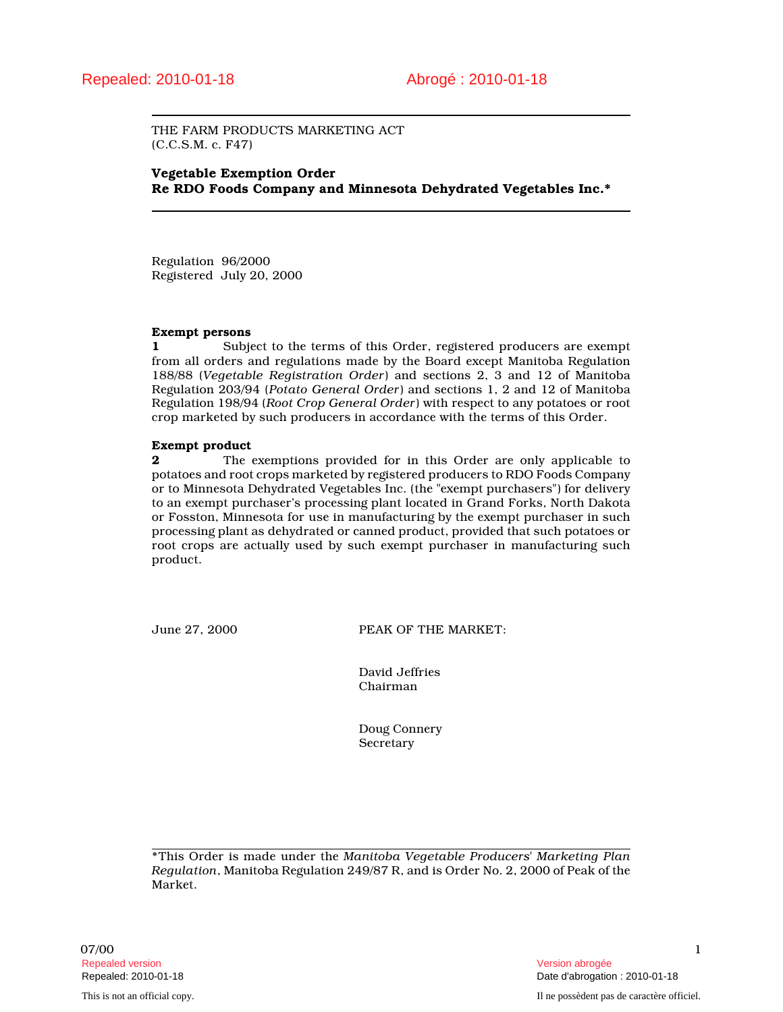THE FARM PRODUCTS MARKETING ACT (C.C.S.M. c. F47)

## Vegetable Exemption Order Re RDO Foods Company and Minnesota Dehydrated Vegetables Inc.\*

Regulation 96/2000 Registered July 20, 2000

#### Exempt persons

1 Subject to the terms of this Order, registered producers are exempt from all orders and regulations made by the Board except Manitoba Regulation 188/88 (Vegetable Registration Order) and sections 2, 3 and 12 of Manitoba Regulation 203/94 (Potato General Order) and sections 1, 2 and 12 of Manitoba Regulation 198/94 (Root Crop General Order) with respect to any potatoes or root crop marketed by such producers in accordance with the terms of this Order.

#### Exempt product

**2** The exemptions provided for in this Order are only applicable to potatoes and root crops marketed by registered producers to RDO Foods Company or to Minnesota Dehydrated Vegetables Inc. (the "exempt purchasers") for delivery to an exempt purchaser's processing plant located in Grand Forks, North Dakota or Fosston, Minnesota for use in manufacturing by the exempt purchaser in such processing plant as dehydrated or canned product, provided that such potatoes or root crops are actually used by such exempt purchaser in manufacturing such product.

June 27, 2000 PEAK OF THE MARKET:

David Jeffries Chairman

Doug Connery Secretary

\*This Order is made under the Manitoba Vegetable Producers' Marketing Plan Regulation, Manitoba Regulation 249/87 R, and is Order No. 2, 2000 of Peak of the Market.

 $07/00$  and  $1$ Repealed version abrogée et al. (2009) and the set of the set of the set of the set of the set of the set of the set of the set of the set of the set of the set of the set of the set of the set of the set of the set of the

Repealed: 2010-01-18 Date d'abrogation : 2010-01-18

This is not an official copy. Il ne possèdent pas de caractère officiel.